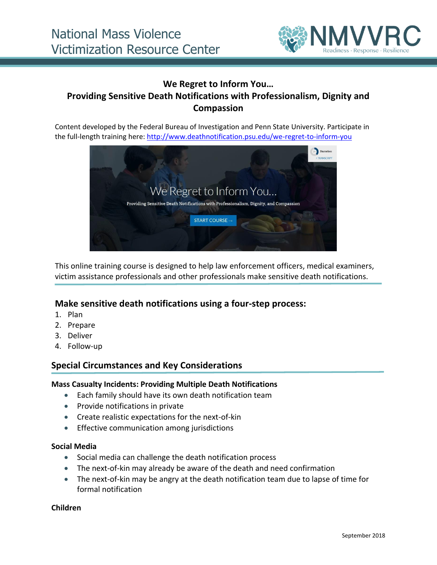

# **We Regret to Inform You… Providing Sensitive Death Notifications with Professionalism, Dignity and Compassion**

Content developed by the Federal Bureau of Investigation and Penn State University. Participate in the full-length training here:<http://www.deathnotification.psu.edu/we-regret-to-inform-you>



This online training course is designed to help law enforcement officers, medical examiners, victim assistance professionals and other professionals make sensitive death notifications.

## **Make sensitive death notifications using a four-step process:**

- 1. Plan
- 2. Prepare
- 3. Deliver
- 4. Follow-up

## **Special Circumstances and Key Considerations**

#### **Mass Casualty Incidents: Providing Multiple Death Notifications**

- Each family should have its own death notification team
- Provide notifications in private
- Create realistic expectations for the next-of-kin
- **Effective communication among jurisdictions**

#### **Social Media**

- Social media can challenge the death notification process
- The next-of-kin may already be aware of the death and need confirmation
- The next-of-kin may be angry at the death notification team due to lapse of time for formal notification

#### **Children**